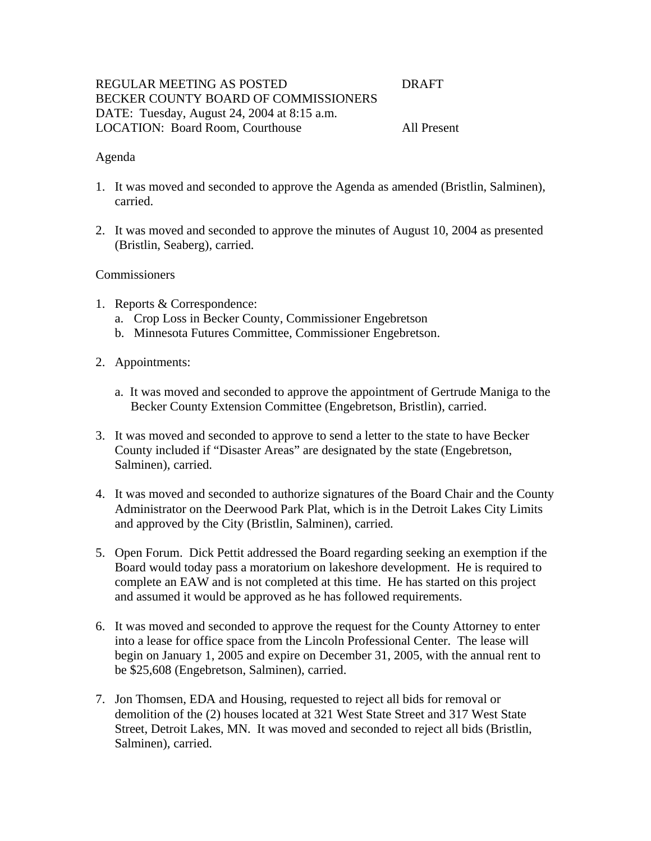# REGULAR MEETING AS POSTED DRAFT BECKER COUNTY BOARD OF COMMISSIONERS DATE: Tuesday, August 24, 2004 at 8:15 a.m. LOCATION: Board Room, Courthouse All Present

## Agenda

- 1. It was moved and seconded to approve the Agenda as amended (Bristlin, Salminen), carried.
- 2. It was moved and seconded to approve the minutes of August 10, 2004 as presented (Bristlin, Seaberg), carried.

## Commissioners

- 1. Reports & Correspondence:
	- a. Crop Loss in Becker County, Commissioner Engebretson
	- b. Minnesota Futures Committee, Commissioner Engebretson.
- 2. Appointments:
	- a. It was moved and seconded to approve the appointment of Gertrude Maniga to the Becker County Extension Committee (Engebretson, Bristlin), carried.
- 3. It was moved and seconded to approve to send a letter to the state to have Becker County included if "Disaster Areas" are designated by the state (Engebretson, Salminen), carried.
- 4. It was moved and seconded to authorize signatures of the Board Chair and the County Administrator on the Deerwood Park Plat, which is in the Detroit Lakes City Limits and approved by the City (Bristlin, Salminen), carried.
- 5. Open Forum. Dick Pettit addressed the Board regarding seeking an exemption if the Board would today pass a moratorium on lakeshore development. He is required to complete an EAW and is not completed at this time. He has started on this project and assumed it would be approved as he has followed requirements.
- 6. It was moved and seconded to approve the request for the County Attorney to enter into a lease for office space from the Lincoln Professional Center. The lease will begin on January 1, 2005 and expire on December 31, 2005, with the annual rent to be \$25,608 (Engebretson, Salminen), carried.
- 7. Jon Thomsen, EDA and Housing, requested to reject all bids for removal or demolition of the (2) houses located at 321 West State Street and 317 West State Street, Detroit Lakes, MN. It was moved and seconded to reject all bids (Bristlin, Salminen), carried.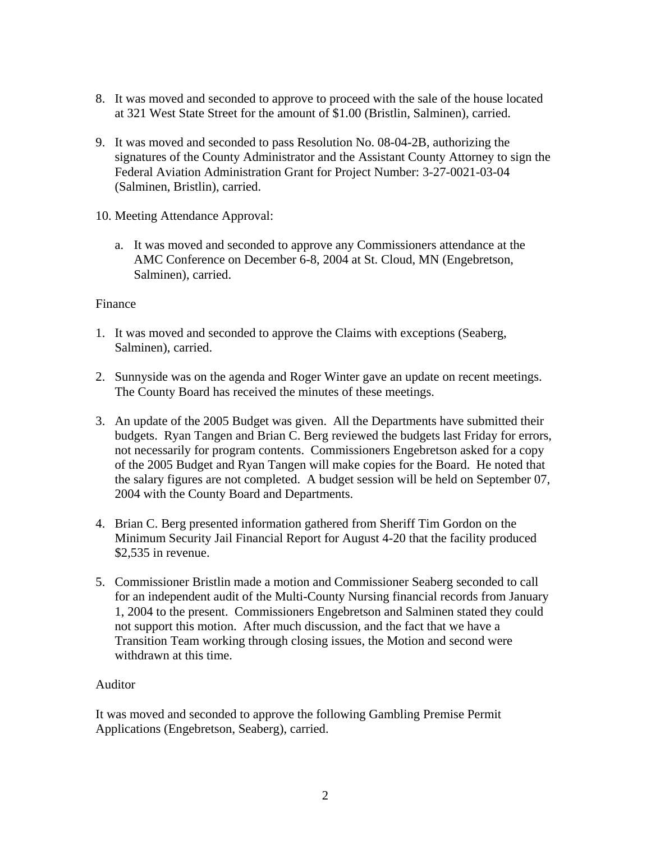- 8. It was moved and seconded to approve to proceed with the sale of the house located at 321 West State Street for the amount of \$1.00 (Bristlin, Salminen), carried.
- 9. It was moved and seconded to pass Resolution No. 08-04-2B, authorizing the signatures of the County Administrator and the Assistant County Attorney to sign the Federal Aviation Administration Grant for Project Number: 3-27-0021-03-04 (Salminen, Bristlin), carried.
- 10. Meeting Attendance Approval:
	- a. It was moved and seconded to approve any Commissioners attendance at the AMC Conference on December 6-8, 2004 at St. Cloud, MN (Engebretson, Salminen), carried.

## Finance

- 1. It was moved and seconded to approve the Claims with exceptions (Seaberg, Salminen), carried.
- 2. Sunnyside was on the agenda and Roger Winter gave an update on recent meetings. The County Board has received the minutes of these meetings.
- 3. An update of the 2005 Budget was given. All the Departments have submitted their budgets. Ryan Tangen and Brian C. Berg reviewed the budgets last Friday for errors, not necessarily for program contents. Commissioners Engebretson asked for a copy of the 2005 Budget and Ryan Tangen will make copies for the Board. He noted that the salary figures are not completed. A budget session will be held on September 07, 2004 with the County Board and Departments.
- 4. Brian C. Berg presented information gathered from Sheriff Tim Gordon on the Minimum Security Jail Financial Report for August 4-20 that the facility produced \$2,535 in revenue.
- 5. Commissioner Bristlin made a motion and Commissioner Seaberg seconded to call for an independent audit of the Multi-County Nursing financial records from January 1, 2004 to the present. Commissioners Engebretson and Salminen stated they could not support this motion. After much discussion, and the fact that we have a Transition Team working through closing issues, the Motion and second were withdrawn at this time.

## Auditor

It was moved and seconded to approve the following Gambling Premise Permit Applications (Engebretson, Seaberg), carried.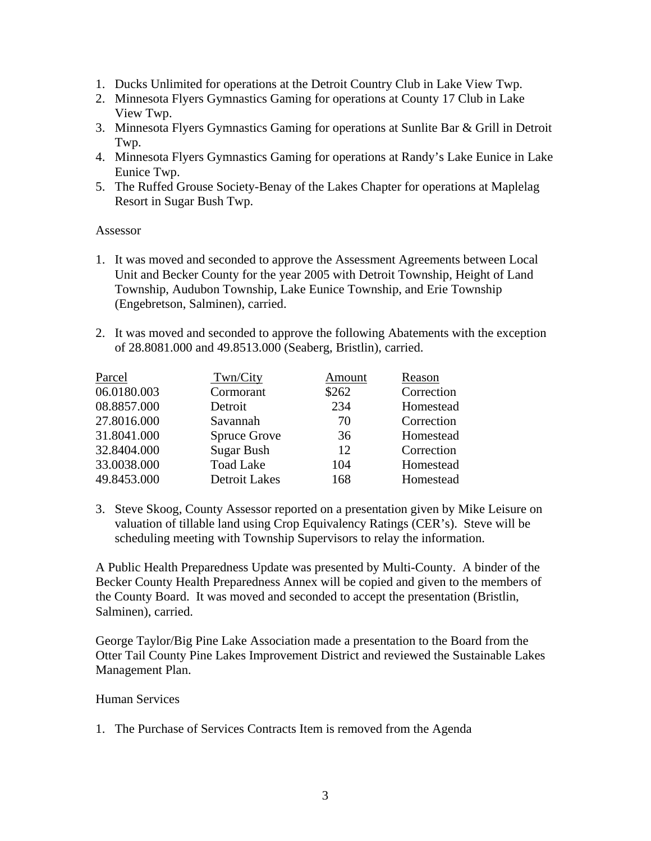- 1. Ducks Unlimited for operations at the Detroit Country Club in Lake View Twp.
- 2. Minnesota Flyers Gymnastics Gaming for operations at County 17 Club in Lake View Twp.
- 3. Minnesota Flyers Gymnastics Gaming for operations at Sunlite Bar & Grill in Detroit Twp.
- 4. Minnesota Flyers Gymnastics Gaming for operations at Randy's Lake Eunice in Lake Eunice Twp.
- 5. The Ruffed Grouse Society-Benay of the Lakes Chapter for operations at Maplelag Resort in Sugar Bush Twp.

## Assessor

- 1. It was moved and seconded to approve the Assessment Agreements between Local Unit and Becker County for the year 2005 with Detroit Township, Height of Land Township, Audubon Township, Lake Eunice Township, and Erie Township (Engebretson, Salminen), carried.
- 2. It was moved and seconded to approve the following Abatements with the exception of 28.8081.000 and 49.8513.000 (Seaberg, Bristlin), carried.

| Parcel      | Twn/City             | Amount | Reason     |
|-------------|----------------------|--------|------------|
| 06.0180.003 | Cormorant            | \$262  | Correction |
| 08.8857.000 | Detroit              | 234    | Homestead  |
| 27.8016.000 | Savannah             | 70     | Correction |
| 31.8041.000 | <b>Spruce Grove</b>  | 36     | Homestead  |
| 32.8404.000 | <b>Sugar Bush</b>    | 12     | Correction |
| 33.0038.000 | <b>Toad Lake</b>     | 104    | Homestead  |
| 49.8453.000 | <b>Detroit Lakes</b> | 168    | Homestead  |

3. Steve Skoog, County Assessor reported on a presentation given by Mike Leisure on valuation of tillable land using Crop Equivalency Ratings (CER's). Steve will be scheduling meeting with Township Supervisors to relay the information.

A Public Health Preparedness Update was presented by Multi-County. A binder of the Becker County Health Preparedness Annex will be copied and given to the members of the County Board. It was moved and seconded to accept the presentation (Bristlin, Salminen), carried.

George Taylor/Big Pine Lake Association made a presentation to the Board from the Otter Tail County Pine Lakes Improvement District and reviewed the Sustainable Lakes Management Plan.

## Human Services

1. The Purchase of Services Contracts Item is removed from the Agenda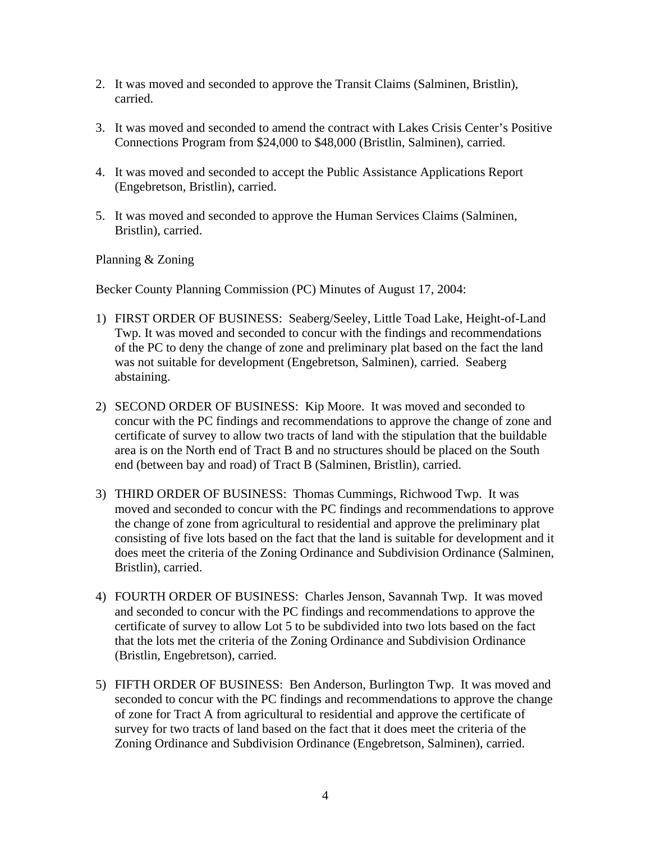- 2. It was moved and seconded to approve the Transit Claims (Salminen, Bristlin), carried.
- 3. It was moved and seconded to amend the contract with Lakes Crisis Center's Positive Connections Program from \$24,000 to \$48,000 (Bristlin, Salminen), carried.
- 4. It was moved and seconded to accept the Public Assistance Applications Report (Engebretson, Bristlin), carried.
- 5. It was moved and seconded to approve the Human Services Claims (Salminen, Bristlin), carried.

Planning & Zoning

Becker County Planning Commission (PC) Minutes of August 17, 2004:

- 1) FIRST ORDER OF BUSINESS: Seaberg/Seeley, Little Toad Lake, Height-of-Land Twp. It was moved and seconded to concur with the findings and recommendations of the PC to deny the change of zone and preliminary plat based on the fact the land was not suitable for development (Engebretson, Salminen), carried. Seaberg abstaining.
- 2) SECOND ORDER OF BUSINESS: Kip Moore. It was moved and seconded to concur with the PC findings and recommendations to approve the change of zone and certificate of survey to allow two tracts of land with the stipulation that the buildable area is on the North end of Tract B and no structures should be placed on the South end (between bay and road) of Tract B (Salminen, Bristlin), carried.
- 3) THIRD ORDER OF BUSINESS: Thomas Cummings, Richwood Twp. It was moved and seconded to concur with the PC findings and recommendations to approve the change of zone from agricultural to residential and approve the preliminary plat consisting of five lots based on the fact that the land is suitable for development and it does meet the criteria of the Zoning Ordinance and Subdivision Ordinance (Salminen, Bristlin), carried.
- 4) FOURTH ORDER OF BUSINESS: Charles Jenson, Savannah Twp. It was moved and seconded to concur with the PC findings and recommendations to approve the certificate of survey to allow Lot 5 to be subdivided into two lots based on the fact that the lots met the criteria of the Zoning Ordinance and Subdivision Ordinance (Bristlin, Engebretson), carried.
- 5) FIFTH ORDER OF BUSINESS: Ben Anderson, Burlington Twp. It was moved and seconded to concur with the PC findings and recommendations to approve the change of zone for Tract A from agricultural to residential and approve the certificate of survey for two tracts of land based on the fact that it does meet the criteria of the Zoning Ordinance and Subdivision Ordinance (Engebretson, Salminen), carried.